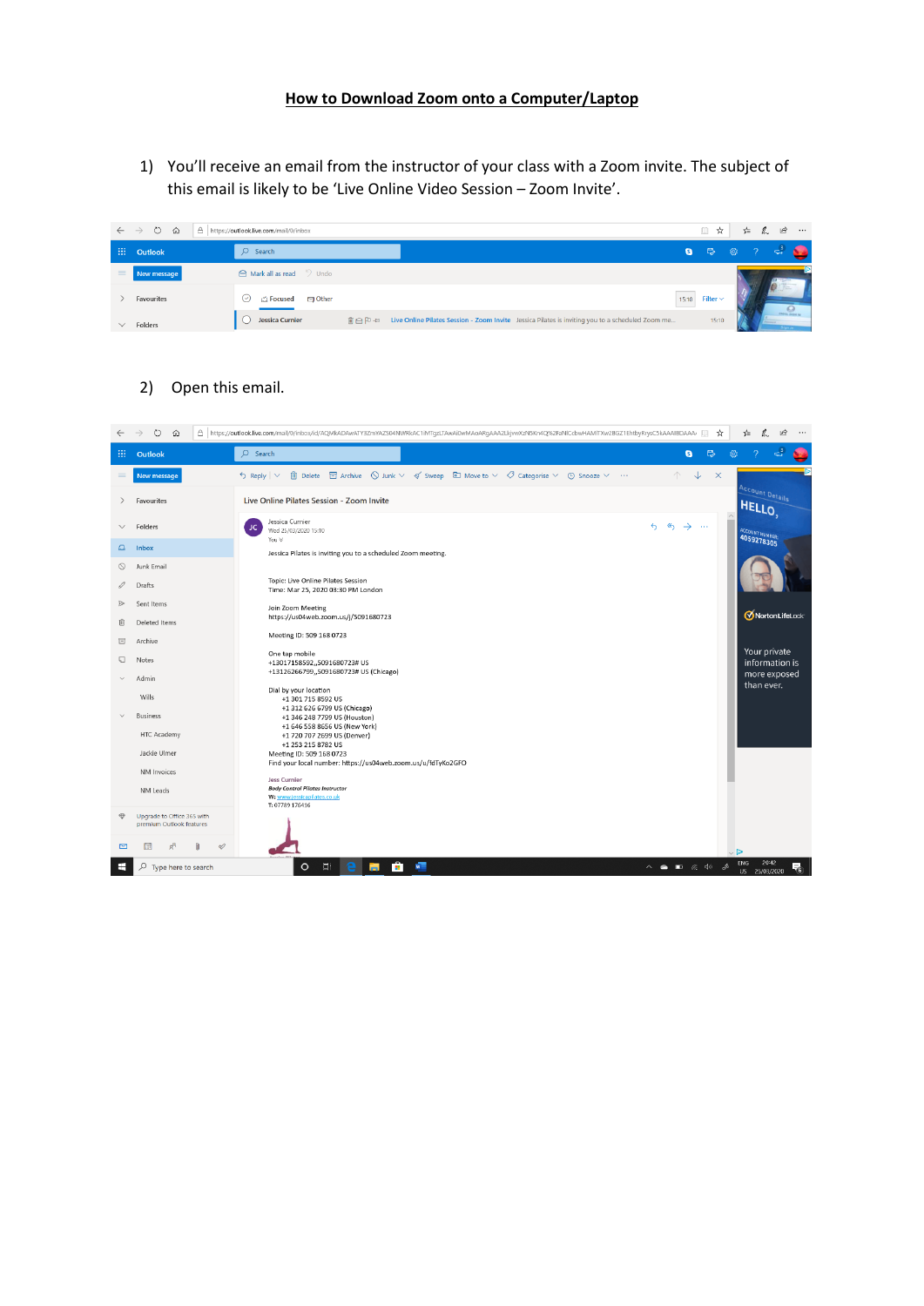## **How to Download Zoom onto a Computer/Laptop**

1) You'll receive an email from the instructor of your class with a Zoom invite. The subject of this email is likely to be 'Live Online Video Session – Zoom Invite'.

|        | $\leftarrow$ $\rightarrow$ 0<br>⋒<br>A | https://outlook.live.com/mail/0/inbox           |                                                                                                            | Ⅲ ☆                     | ≴≣   | $\begin{array}{ccccc} \mathbb{Z} & \mathbb{B} \end{array}$<br>$\cdots$ |
|--------|----------------------------------------|-------------------------------------------------|------------------------------------------------------------------------------------------------------------|-------------------------|------|------------------------------------------------------------------------|
| W.     | Outlook                                | $\Omega$<br>Search                              |                                                                                                            | $\bullet$ $\Rightarrow$ | ୍ଷ ସ |                                                                        |
| $=$    | New message                            | $\bigcap$ Mark all as read $\bigcirc$ Undo      |                                                                                                            |                         |      |                                                                        |
|        | Favourites                             | <b>S</b> Other<br><b>CA Focused</b><br>$(\vee)$ |                                                                                                            | $15:10$ Filter $\sim$   |      | $Q_{\text{max}}$                                                       |
| $\vee$ | Folders                                | Jessica Curnier                                 | m A P + a Live Online Pilates Session - Zoom Invite Jessica Pilates is inviting you to a scheduled Zoom me | 15:10                   |      |                                                                        |

## 2) Open this email.

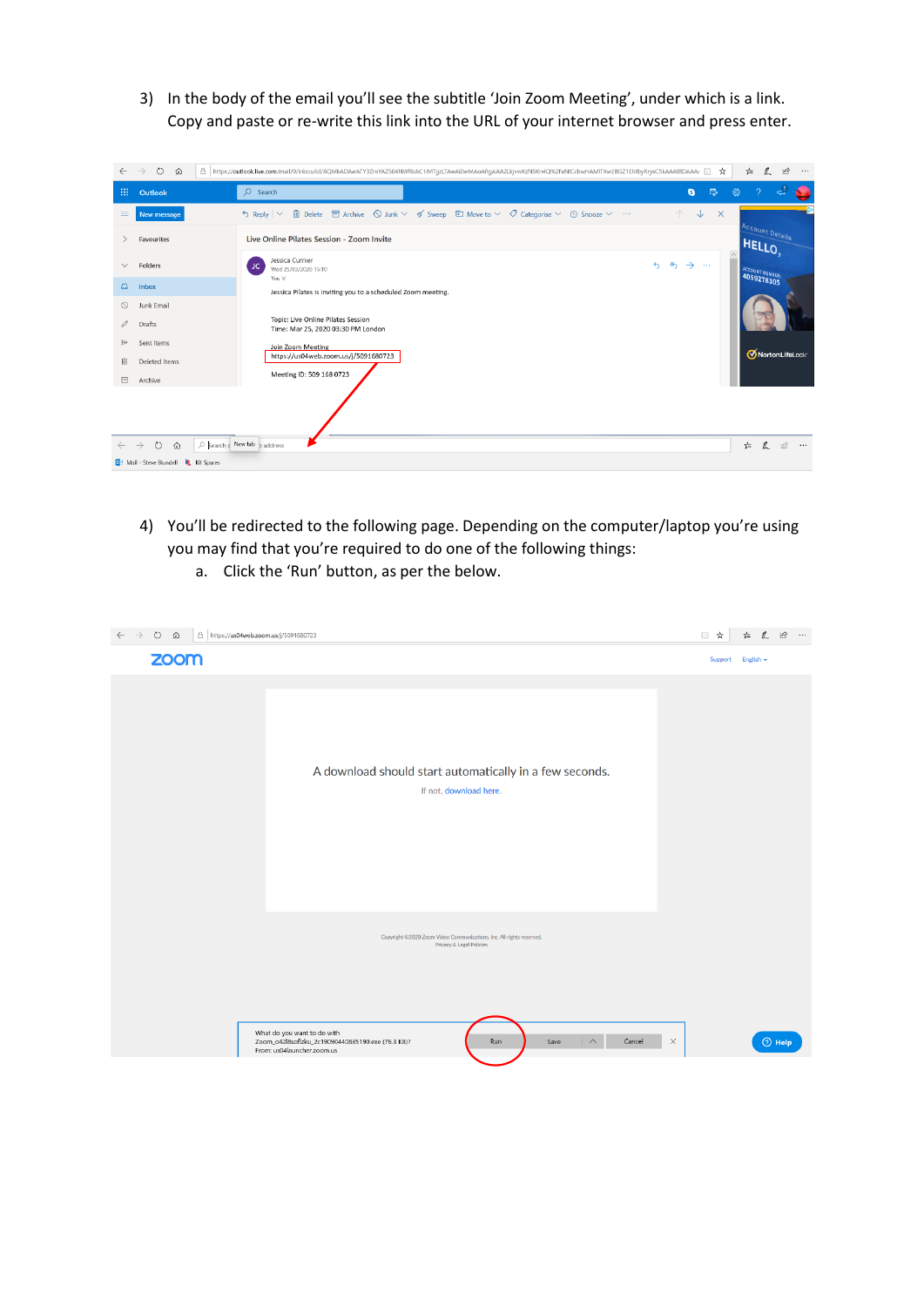3) In the body of the email you'll see the subtitle 'Join Zoom Meeting', under which is a link. Copy and paste or re-write this link into the URL of your internet browser and press enter.

| $\leftarrow$  | $\circ$<br>$\rightarrow$<br>⋒                       | A https://outlook.live.com/mail/0/inbox/id/AQMkADAwATY3ZmYAZS04NWRkAC1iMTqzLTAwAi0wMAoARqAAA2LkjvwXzN5Kn4Q%2FaNlCcbwHAMlTXw2BGZ1EhtbyRrysC5kAAAIBDAAA/                                                                                                                                                                                                                                                                                                                                                                                                                                                             | ☆                                                                                                    | $\mathbf{B}$<br>$\mathbb{Z}$<br>☆≡<br>$\cdots$        |  |  |  |  |
|---------------|-----------------------------------------------------|--------------------------------------------------------------------------------------------------------------------------------------------------------------------------------------------------------------------------------------------------------------------------------------------------------------------------------------------------------------------------------------------------------------------------------------------------------------------------------------------------------------------------------------------------------------------------------------------------------------------|------------------------------------------------------------------------------------------------------|-------------------------------------------------------|--|--|--|--|
| 田             | Outlook                                             | $O$ Search                                                                                                                                                                                                                                                                                                                                                                                                                                                                                                                                                                                                         | $\mathbb{R}$<br>$\theta$<br>ි                                                                        | ಳೆ<br>-2                                              |  |  |  |  |
| $\equiv$      | New message                                         | $\begin{array}{l} \text{ \bf \textcolor{blue}{\textbf{\textcolor{blue}{ii} \textcolor{blue}{\textbf{\textcolor{blue}{ii}}} \textcolor{blue}{\textcolor{blue}{\textbf{D}}} \textcolor{blue}{\textcolor{blue}{b}}} } \textcolor{red}{\textcolor{blue}{\textbf{E}}} } \textcolor{red}{\textcolor{blue}{\textbf{E}}} } \textcolor{red}{\textcolor{blue}{\textbf{E}}} } \textcolor{red}{\textbf{E}} } \textcolor{red}{\textbf{E}} } \textcolor{red}{\textbf{E}} } \textcolor{red}{\textbf{E}} } \textcolor{red}{\textbf{E}} } \textcolor{red}{\textbf{E}} } \textcolor{red}{$<br>$\frac{1}{2}$ Reply $\vert \vee \vert$ | $\downarrow$<br>个<br>$\times$                                                                        |                                                       |  |  |  |  |
|               | Favourites                                          | Live Online Pilates Session - Zoom Invite                                                                                                                                                                                                                                                                                                                                                                                                                                                                                                                                                                          |                                                                                                      | <b>Account Details</b><br>HELLO                       |  |  |  |  |
| $\checkmark$  | Folders                                             | Jessica Curnier<br>JC.<br>Wed 25/03/2020 15:10                                                                                                                                                                                                                                                                                                                                                                                                                                                                                                                                                                     | $\hat{\phantom{a}}$<br>$\leftrightarrow$<br>$\left\langle \leftarrow \right\rangle$<br>$\rightarrow$ | <b>ACCOUNT HUMBER</b>                                 |  |  |  |  |
| $\omega$      | <b>Inbox</b>                                        | You $\ll$<br>Jessica Pilates is inviting you to a scheduled Zoom meeting.                                                                                                                                                                                                                                                                                                                                                                                                                                                                                                                                          |                                                                                                      |                                                       |  |  |  |  |
| ◎             | Junk Email                                          |                                                                                                                                                                                                                                                                                                                                                                                                                                                                                                                                                                                                                    |                                                                                                      |                                                       |  |  |  |  |
| 0             | <b>Drafts</b>                                       | Topic: Live Online Pilates Session<br>Time: Mar 25, 2020 03:30 PM London                                                                                                                                                                                                                                                                                                                                                                                                                                                                                                                                           |                                                                                                      |                                                       |  |  |  |  |
| $\Rightarrow$ | Sent Items                                          | Join Zoom Meeting                                                                                                                                                                                                                                                                                                                                                                                                                                                                                                                                                                                                  |                                                                                                      | MortonLifeLock                                        |  |  |  |  |
| 面             | Deleted Items                                       | https://us04web.zoom.us/j/5091680723                                                                                                                                                                                                                                                                                                                                                                                                                                                                                                                                                                               |                                                                                                      |                                                       |  |  |  |  |
| 冒             | Archive                                             | Meeting ID: 509 168 0723                                                                                                                                                                                                                                                                                                                                                                                                                                                                                                                                                                                           |                                                                                                      |                                                       |  |  |  |  |
|               |                                                     |                                                                                                                                                                                                                                                                                                                                                                                                                                                                                                                                                                                                                    |                                                                                                      |                                                       |  |  |  |  |
|               | $\circ$<br>⋒<br>$\rightarrow$                       | C Search c New tab p address                                                                                                                                                                                                                                                                                                                                                                                                                                                                                                                                                                                       |                                                                                                      | $\mathbb{Z}$<br>$\overrightarrow{B}$<br>☆<br>$\cdots$ |  |  |  |  |
|               | <b>OM</b> Mail - Steve Blundell <b>K</b> Kit Spares |                                                                                                                                                                                                                                                                                                                                                                                                                                                                                                                                                                                                                    |                                                                                                      |                                                       |  |  |  |  |

- 4) You'll be redirected to the following page. Depending on the computer/laptop you're using you may find that you're required to do one of the following things:
	- a. Click the 'Run' button, as per the below.

| $\circ$<br>$\Omega$<br>△ https://us04web.zoom.us/j/5091680723<br>$\leftarrow$<br>$\rightarrow$ |                                                                                                                                                               | □ ☆               | $\mathfrak{B}$<br>$\cdots$<br>☆ 2 |
|------------------------------------------------------------------------------------------------|---------------------------------------------------------------------------------------------------------------------------------------------------------------|-------------------|-----------------------------------|
| zoom                                                                                           |                                                                                                                                                               | Support English - |                                   |
|                                                                                                | A download should start automatically in a few seconds.<br>If not, download here.                                                                             |                   |                                   |
|                                                                                                | Copyright @2020 Zoom Video Communications, Inc. All rights reserved.<br>Privacy & Legal Policies                                                              |                   |                                   |
|                                                                                                | What do you want to do with<br>Cancel<br>Zoom_o42l8sofizku_2c19090440835190.exe (76.3 KB)?<br>Run<br>Save<br>$\curvearrowright$<br>From: us04launcher.zoom.us | $\times$          | $①$ Help                          |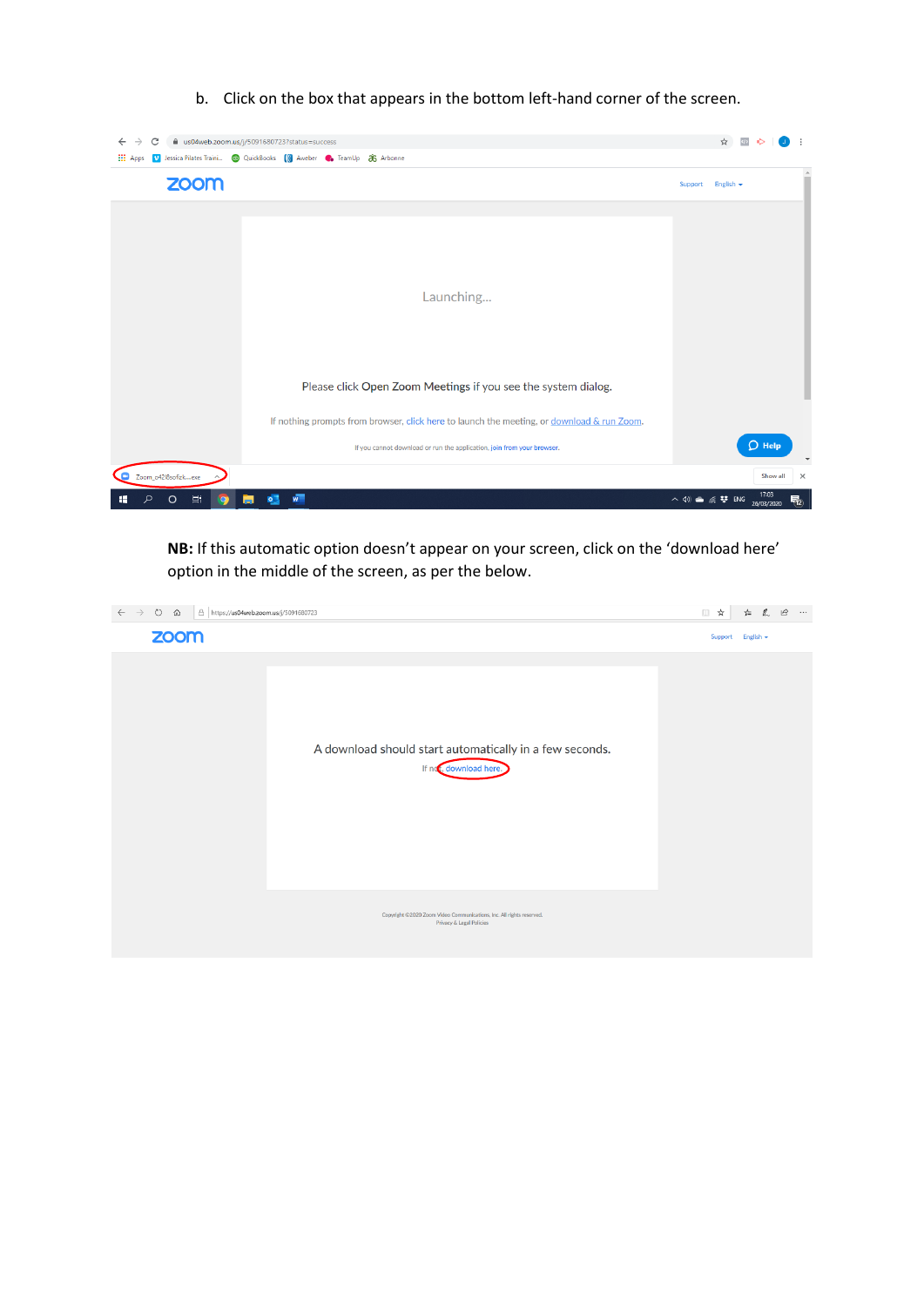b. Click on the box that appears in the bottom left-hand corner of the screen.



**NB:** If this automatic option doesn't appear on your screen, click on the 'download here' option in the middle of the screen, as per the below.